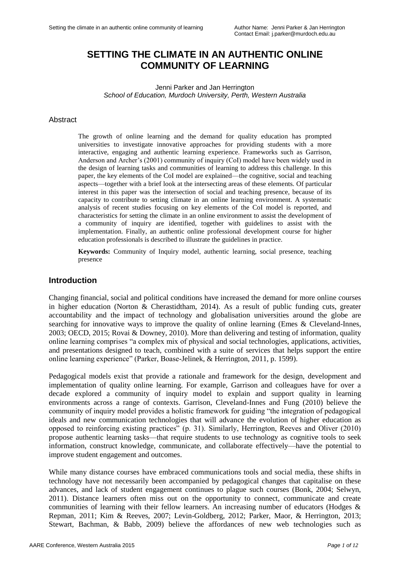# **SETTING THE CLIMATE IN AN AUTHENTIC ONLINE COMMUNITY OF LEARNING**

Jenni Parker and Jan Herrington *School of Education, Murdoch University, Perth, Western Australia*

#### **Abstract**

The growth of online learning and the demand for quality education has prompted universities to investigate innovative approaches for providing students with a more interactive, engaging and authentic learning experience. Frameworks such as Garrison, Anderson and Archer"s (2001) community of inquiry (CoI) model have been widely used in the design of learning tasks and communities of learning to address this challenge. In this paper, the key elements of the CoI model are explained—the cognitive, social and teaching aspects—together with a brief look at the intersecting areas of these elements. Of particular interest in this paper was the intersection of social and teaching presence, because of its capacity to contribute to setting climate in an online learning environment. A systematic analysis of recent studies focusing on key elements of the CoI model is reported, and characteristics for setting the climate in an online environment to assist the development of a community of inquiry are identified, together with guidelines to assist with the implementation. Finally, an authentic online professional development course for higher education professionals is described to illustrate the guidelines in practice.

**Keywords:** Community of Inquiry model, authentic learning, social presence, teaching presence

#### **Introduction**

Changing financial, social and political conditions have increased the demand for more online courses in higher education (Norton & Cherastidtham, 2014). As a result of public funding cuts, greater accountability and the impact of technology and globalisation universities around the globe are searching for innovative ways to improve the quality of online learning (Emes & Cleveland-Innes, 2003; OECD, 2015; Rovai & Downey, 2010). More than delivering and testing of information, quality online learning comprises "a complex mix of physical and social technologies, applications, activities, and presentations designed to teach, combined with a suite of services that helps support the entire online learning experience" (Parker, Boase-Jelinek, & Herrington, 2011, p. 1599).

Pedagogical models exist that provide a rationale and framework for the design, development and implementation of quality online learning. For example, Garrison and colleagues have for over a decade explored a community of inquiry model to explain and support quality in learning environments across a range of contexts. Garrison, Cleveland-Innes and Fung (2010) believe the community of inquiry model provides a holistic framework for guiding "the integration of pedagogical ideals and new communication technologies that will advance the evolution of higher education as opposed to reinforcing existing practices" (p. 31). Similarly, Herrington, Reeves and Oliver (2010) propose authentic learning tasks—that require students to use technology as cognitive tools to seek information, construct knowledge, communicate, and collaborate effectively—have the potential to improve student engagement and outcomes.

While many distance courses have embraced communications tools and social media, these shifts in technology have not necessarily been accompanied by pedagogical changes that capitalise on these advances, and lack of student engagement continues to plague such courses (Bonk, 2004; Selwyn, 2011). Distance learners often miss out on the opportunity to connect, communicate and create communities of learning with their fellow learners. An increasing number of educators (Hodges & Repman, 2011; Kim & Reeves, 2007; Levin-Goldberg, 2012; Parker, Maor, & Herrington, 2013; Stewart, Bachman, & Babb, 2009) believe the affordances of new web technologies such as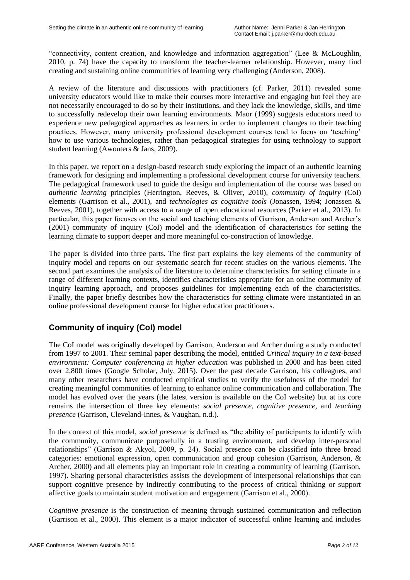"connectivity, content creation, and knowledge and information aggregation" (Lee & McLoughlin, 2010, p. 74) have the capacity to transform the teacher-learner relationship. However, many find creating and sustaining online communities of learning very challenging (Anderson, 2008).

A review of the literature and discussions with practitioners (cf. Parker, 2011) revealed some university educators would like to make their courses more interactive and engaging but feel they are not necessarily encouraged to do so by their institutions, and they lack the knowledge, skills, and time to successfully redevelop their own learning environments. Maor (1999) suggests educators need to experience new pedagogical approaches as learners in order to implement changes to their teaching practices. However, many university professional development courses tend to focus on "teaching" how to use various technologies, rather than pedagogical strategies for using technology to support student learning (Awouters & Jans, 2009).

In this paper, we report on a design-based research study exploring the impact of an authentic learning framework for designing and implementing a professional development course for university teachers. The pedagogical framework used to guide the design and implementation of the course was based on *authentic learning* principles (Herrington, Reeves, & Oliver, 2010), *community of inquiry* (CoI) elements (Garrison et al., 2001), and *technologies as cognitive tools* (Jonassen, 1994; Jonassen & Reeves, 2001), together with access to a range of open educational resources (Parker et al., 2013). In particular, this paper focuses on the social and teaching elements of Garrison, Anderson and Archer"s (2001) community of inquiry (CoI) model and the identification of characteristics for setting the learning climate to support deeper and more meaningful co-construction of knowledge.

The paper is divided into three parts. The first part explains the key elements of the community of inquiry model and reports on our systematic search for recent studies on the various elements. The second part examines the analysis of the literature to determine characteristics for setting climate in a range of different learning contexts, identifies characteristics appropriate for an online community of inquiry learning approach, and proposes guidelines for implementing each of the characteristics. Finally, the paper briefly describes how the characteristics for setting climate were instantiated in an online professional development course for higher education practitioners.

## **Community of inquiry (CoI) model**

The CoI model was originally developed by Garrison, Anderson and Archer during a study conducted from 1997 to 2001. Their seminal paper describing the model, entitled *Critical inquiry in a text-based environment: Computer conferencing in higher education* was published in 2000 and has been cited over 2,800 times (Google Scholar, July, 2015). Over the past decade Garrison, his colleagues, and many other researchers have conducted empirical studies to verify the usefulness of the model for creating meaningful communities of learning to enhance online communication and collaboration. The model has evolved over the years (the latest version is available on the CoI website) but at its core remains the intersection of three key elements: *social presence, cognitive presence,* and *teaching presence* (Garrison, Cleveland-Innes, & Vaughan, n.d.).

In the context of this model, *social presence* is defined as "the ability of participants to identify with the community, communicate purposefully in a trusting environment, and develop inter-personal relationships" (Garrison & Akyol, 2009, p. 24). Social presence can be classified into three broad categories: emotional expression, open communication and group cohesion (Garrison, Anderson, & Archer, 2000) and all elements play an important role in creating a community of learning (Garrison, 1997). Sharing personal characteristics assists the development of interpersonal relationships that can support cognitive presence by indirectly contributing to the process of critical thinking or support affective goals to maintain student motivation and engagement (Garrison et al., 2000).

*Cognitive presence* is the construction of meaning through sustained communication and reflection (Garrison et al., 2000). This element is a major indicator of successful online learning and includes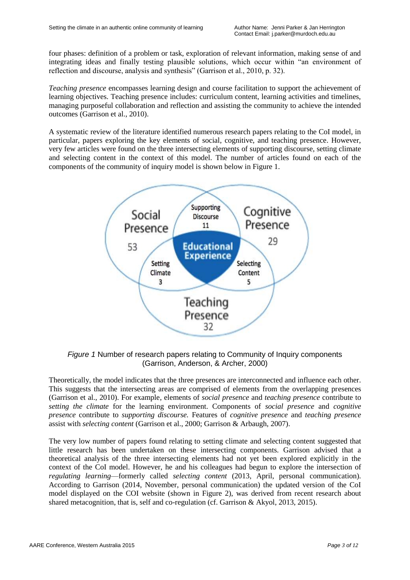four phases: definition of a problem or task, exploration of relevant information, making sense of and integrating ideas and finally testing plausible solutions, which occur within "an environment of reflection and discourse, analysis and synthesis" (Garrison et al., 2010, p. 32).

*Teaching presence* encompasses learning design and course facilitation to support the achievement of learning objectives. Teaching presence includes: curriculum content, learning activities and timelines, managing purposeful collaboration and reflection and assisting the community to achieve the intended outcomes (Garrison et al., 2010).

A systematic review of the literature identified numerous research papers relating to the CoI model, in particular, papers exploring the key elements of social, cognitive, and teaching presence. However, very few articles were found on the three intersecting elements of supporting discourse, setting climate and selecting content in the context of this model. The number of articles found on each of the components of the community of inquiry model is shown below in Figure 1.



*Figure 1* Number of research papers relating to Community of Inquiry components (Garrison, Anderson, & Archer, 2000)

Theoretically, the model indicates that the three presences are interconnected and influence each other. This suggests that the intersecting areas are comprised of elements from the overlapping presences (Garrison et al., 2010). For example, elements of *social presence* and *teaching presence* contribute to *setting the climate* for the learning environment. Components of *social presence* and *cognitive presence* contribute to *supporting discourse.* Features of *cognitive presence* and *teaching presence* assist with *selecting content* (Garrison et al., 2000; Garrison & Arbaugh, 2007).

The very low number of papers found relating to setting climate and selecting content suggested that little research has been undertaken on these intersecting components. Garrison advised that a theoretical analysis of the three intersecting elements had not yet been explored explicitly in the context of the CoI model. However, he and his colleagues had begun to explore the intersection of *regulating learning*—formerly called *selecting content* (2013, April, personal communication). According to Garrison (2014, November, personal communication) the updated version of the CoI model displayed on the COI website (shown in Figure 2), was derived from recent research about shared metacognition, that is, self and co-regulation (cf. Garrison & Akyol, 2013, 2015).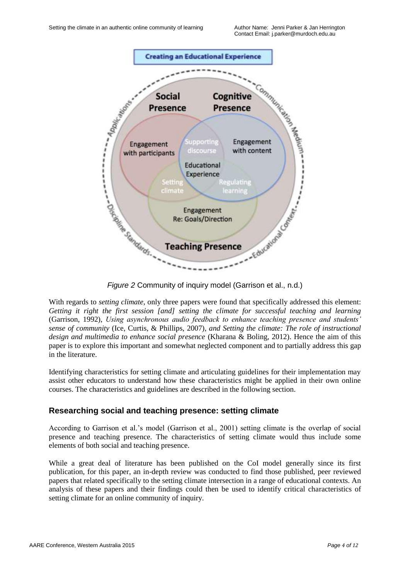

With regards to *setting climate*, only three papers were found that specifically addressed this element: *Getting it right the first session [and] setting the climate for successful teaching and learning*  (Garrison, 1992), *Using asynchronous audio feedback to enhance teaching presence and students' sense of community* (Ice, Curtis, & Phillips, 2007)*, and Setting the climate: The role of instructional design and multimedia to enhance social presence* (Kharana & Boling, 2012). Hence the aim of this paper is to explore this important and somewhat neglected component and to partially address this gap in the literature.

Identifying characteristics for setting climate and articulating guidelines for their implementation may assist other educators to understand how these characteristics might be applied in their own online courses. The characteristics and guidelines are described in the following section.

#### **Researching social and teaching presence: setting climate**

According to Garrison et al."s model (Garrison et al., 2001) setting climate is the overlap of social presence and teaching presence. The characteristics of setting climate would thus include some elements of both social and teaching presence.

While a great deal of literature has been published on the CoI model generally since its first publication, for this paper, an in-depth review was conducted to find those published, peer reviewed papers that related specifically to the setting climate intersection in a range of educational contexts. An analysis of these papers and their findings could then be used to identify critical characteristics of setting climate for an online community of inquiry.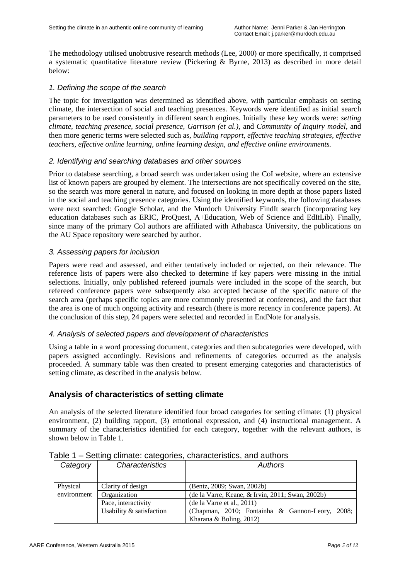The methodology utilised unobtrusive research methods (Lee, 2000) or more specifically, it comprised a systematic quantitative literature review (Pickering & Byrne, 2013) as described in more detail below:

#### *1. Defining the scope of the search*

The topic for investigation was determined as identified above, with particular emphasis on setting climate, the intersection of social and teaching presences. Keywords were identified as initial search parameters to be used consistently in different search engines. Initially these key words were: *setting climate, teaching presence, social presence, Garrison (et al.),* and *Community of Inquiry model,* and then more generic terms were selected such as, *building rapport, effective teaching strategies, effective teachers, effective online learning, online learning design, and effective online environments.*

#### *2. Identifying and searching databases and other sources*

Prior to database searching, a broad search was undertaken using the CoI website, where an extensive list of known papers are grouped by element. The intersections are not specifically covered on the site, so the search was more general in nature, and focused on looking in more depth at those papers listed in the social and teaching presence categories. Using the identified keywords, the following databases were next searched: Google Scholar, and the Murdoch University FindIt search (incorporating key education databases such as ERIC, ProQuest, A+Education, Web of Science and EdItLib). Finally, since many of the primary CoI authors are affiliated with Athabasca University, the publications on the AU Space repository were searched by author.

#### *3. Assessing papers for inclusion*

Papers were read and assessed, and either tentatively included or rejected, on their relevance. The reference lists of papers were also checked to determine if key papers were missing in the initial selections. Initially, only published refereed journals were included in the scope of the search, but refereed conference papers were subsequently also accepted because of the specific nature of the search area (perhaps specific topics are more commonly presented at conferences), and the fact that the area is one of much ongoing activity and research (there is more recency in conference papers). At the conclusion of this step, 24 papers were selected and recorded in EndNote for analysis.

#### *4. Analysis of selected papers and development of characteristics*

Using a table in a word processing document, categories and then subcategories were developed, with papers assigned accordingly. Revisions and refinements of categories occurred as the analysis proceeded. A summary table was then created to present emerging categories and characteristics of setting climate, as described in the analysis below.

## **Analysis of characteristics of setting climate**

An analysis of the selected literature identified four broad categories for setting climate: (1) physical environment, (2) building rapport, (3) emotional expression, and (4) instructional management. A summary of the characteristics identified for each category, together with the relevant authors, is shown below in Table 1.

| Category    | Characteristics          | Authors                                          |
|-------------|--------------------------|--------------------------------------------------|
| Physical    | Clarity of design        | (Bentz, 2009; Swan, 2002b)                       |
| environment | Organization             | (de la Varre, Keane, & Irvin, 2011; Swan, 2002b) |
|             | Pace, interactivity      | (de la Varre et al., 2011)                       |
|             | Usability & satisfaction | (Chapman, 2010; Fontainha & Gannon-Leory, 2008;  |
|             |                          | Kharana & Boling, $2012$ )                       |

Table 1 – Setting climate: categories, characteristics, and authors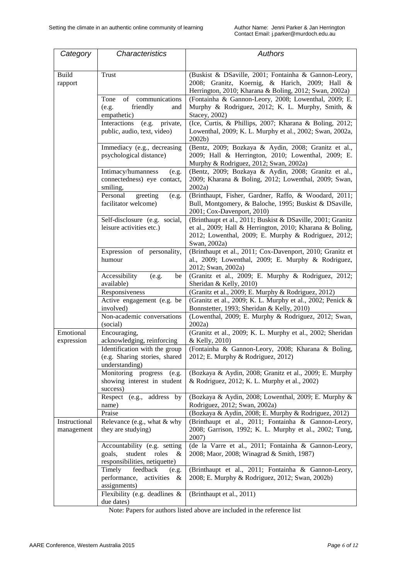| Category                    | <b>Characteristics</b>                                                                           | <b>Authors</b>                                                                                                                                                                                 |
|-----------------------------|--------------------------------------------------------------------------------------------------|------------------------------------------------------------------------------------------------------------------------------------------------------------------------------------------------|
|                             |                                                                                                  |                                                                                                                                                                                                |
| <b>Build</b><br>rapport     | Trust                                                                                            | (Buskist & DSaville, 2001; Fontainha & Gannon-Leory,<br>2008; Granitz, Koernig, & Harich, 2009; Hall &<br>Herrington, 2010; Kharana & Boling, 2012; Swan, 2002a)                               |
|                             | communications<br>Tone<br>of<br>friendly<br>(e.g.<br>and<br>empathetic)                          | (Fontainha & Gannon-Leory, 2008; Lowenthal, 2009; E.<br>Murphy & Rodriguez, 2012; K. L. Murphy, Smith, &<br>Stacey, 2002)                                                                      |
|                             | Interactions<br>private,<br>(e.g.<br>public, audio, text, video)                                 | (Ice, Curtis, & Phillips, 2007; Kharana & Boling, 2012;<br>Lowenthal, 2009; K. L. Murphy et al., 2002; Swan, 2002a,<br>2002b)                                                                  |
|                             | Immediacy (e.g., decreasing<br>psychological distance)                                           | (Bentz, 2009; Bozkaya & Aydin, 2008; Granitz et al.,<br>2009; Hall & Herrington, 2010; Lowenthal, 2009; E.<br>Murphy & Rodriguez, 2012; Swan, 2002a)                                           |
|                             | Intimacy/humanness<br>(e.g.<br>connectedness) eye contact,<br>smiling,                           | (Bentz, 2009; Bozkaya & Aydin, 2008; Granitz et al.,<br>2009; Kharana & Boling, 2012; Lowenthal, 2009; Swan,<br>2002a                                                                          |
|                             | Personal<br>greeting<br>(e.g.<br>facilitator welcome)                                            | (Brinthaupt, Fisher, Gardner, Raffo, & Woodard, 2011;<br>Bull, Montgomery, & Baloche, 1995; Buskist & DSaville,<br>2001; Cox-Davenport, 2010)                                                  |
|                             | Self-disclosure (e.g. social,<br>leisure activities etc.)                                        | (Brinthaupt et al., 2011; Buskist & DSaville, 2001; Granitz<br>et al., 2009; Hall & Herrington, 2010; Kharana & Boling,<br>2012; Lowenthal, 2009; E. Murphy & Rodriguez, 2012;<br>Swan, 2002a) |
|                             | Expression of personality,<br>humour                                                             | (Brinthaupt et al., 2011; Cox-Davenport, 2010; Granitz et<br>al., 2009; Lowenthal, 2009; E. Murphy & Rodriguez,<br>2012; Swan, 2002a)                                                          |
|                             | Accessibility<br>(e.g.<br>be<br>available)                                                       | (Granitz et al., 2009; E. Murphy & Rodriguez, 2012;<br>Sheridan & Kelly, 2010)                                                                                                                 |
|                             | Responsiveness                                                                                   | (Granitz et al., 2009; E. Murphy & Rodriguez, 2012)                                                                                                                                            |
|                             | Active engagement (e.g. be<br>involved)                                                          | (Granitz et al., 2009; K. L. Murphy et al., 2002; Penick &<br>Bonnstetter, 1993; Sheridan & Kelly, 2010)                                                                                       |
|                             | Non-academic conversations<br>(social)                                                           | (Lowenthal, 2009; E. Murphy & Rodriguez, 2012; Swan,<br>2002a                                                                                                                                  |
| Emotional<br>expression     | Encouraging,<br>acknowledging, reinforcing                                                       | (Granitz et al., 2009; K. L. Murphy et al., 2002; Sheridan<br>& Kelly, 2010)                                                                                                                   |
|                             | Identification with the group<br>(e.g. Sharing stories, shared<br>understanding)                 | (Fontainha & Gannon-Leory, 2008; Kharana & Boling,<br>2012; E. Murphy & Rodriguez, 2012)                                                                                                       |
|                             | Monitoring progress<br>(e.g.<br>showing interest in student<br>success)                          | (Bozkaya & Aydin, 2008; Granitz et al., 2009; E. Murphy<br>& Rodriguez, 2012; K. L. Murphy et al., 2002)                                                                                       |
|                             | Respect (e.g., address by<br>name)                                                               | (Bozkaya & Aydin, 2008; Lowenthal, 2009; E. Murphy &<br>Rodriguez, 2012; Swan, 2002a)                                                                                                          |
|                             | Praise                                                                                           | (Bozkaya & Aydin, 2008; E. Murphy & Rodriguez, 2012)                                                                                                                                           |
| Instructional<br>management | Relevance (e.g., what & why<br>they are studying)                                                | (Brinthaupt et al., 2011; Fontainha & Gannon-Leory,<br>2008; Garrison, 1992; K. L. Murphy et al., 2002; Tung,<br>2007)                                                                         |
|                             | Accountability (e.g. setting<br>student<br>goals,<br>roles<br>&<br>responsibilities, netiquette) | (de la Varre et al., 2011; Fontainha & Gannon-Leory,<br>2008; Maor, 2008; Winagrad & Smith, 1987)                                                                                              |
|                             | Timely<br>feedback<br>(e.g.<br>performance,<br>activities &<br>assignments)                      | (Brinthaupt et al., 2011; Fontainha & Gannon-Leory,<br>2008; E. Murphy & Rodriguez, 2012; Swan, 2002b)                                                                                         |
|                             | Flexibility (e.g. deadlines &<br>due dates)                                                      | (Brinthaupt et al., 2011)                                                                                                                                                                      |

Note: Papers for authors listed above are included in the reference list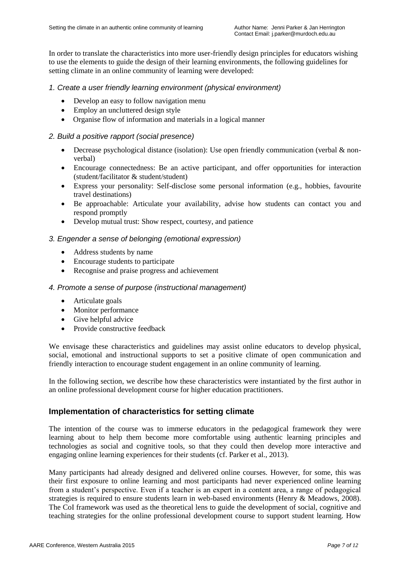In order to translate the characteristics into more user-friendly design principles for educators wishing to use the elements to guide the design of their learning environments, the following guidelines for setting climate in an online community of learning were developed:

#### *1. Create a user friendly learning environment (physical environment)*

- Develop an easy to follow navigation menu
- Employ an uncluttered design style
- Organise flow of information and materials in a logical manner

#### *2. Build a positive rapport (social presence)*

- Decrease psychological distance (isolation): Use open friendly communication (verbal & nonverbal)
- Encourage connectedness: Be an active participant, and offer opportunities for interaction (student/facilitator & student/student)
- Express your personality: Self-disclose some personal information (e.g., hobbies, favourite travel destinations)
- Be approachable: Articulate your availability, advise how students can contact you and respond promptly
- Develop mutual trust: Show respect, courtesy, and patience

#### *3. Engender a sense of belonging (emotional expression)*

- Address students by name
- Encourage students to participate
- Recognise and praise progress and achievement

#### *4. Promote a sense of purpose (instructional management)*

- Articulate goals
- Monitor performance
- Give helpful advice
- Provide constructive feedback

We envisage these characteristics and guidelines may assist online educators to develop physical, social, emotional and instructional supports to set a positive climate of open communication and friendly interaction to encourage student engagement in an online community of learning.

In the following section, we describe how these characteristics were instantiated by the first author in an online professional development course for higher education practitioners.

## **Implementation of characteristics for setting climate**

The intention of the course was to immerse educators in the pedagogical framework they were learning about to help them become more comfortable using authentic learning principles and technologies as social and cognitive tools, so that they could then develop more interactive and engaging online learning experiences for their students (cf. Parker et al., 2013).

Many participants had already designed and delivered online courses. However, for some, this was their first exposure to online learning and most participants had never experienced online learning from a student"s perspective. Even if a teacher is an expert in a content area, a range of pedagogical strategies is required to ensure students learn in web-based environments (Henry & Meadows, 2008). The CoI framework was used as the theoretical lens to guide the development of social, cognitive and teaching strategies for the online professional development course to support student learning. How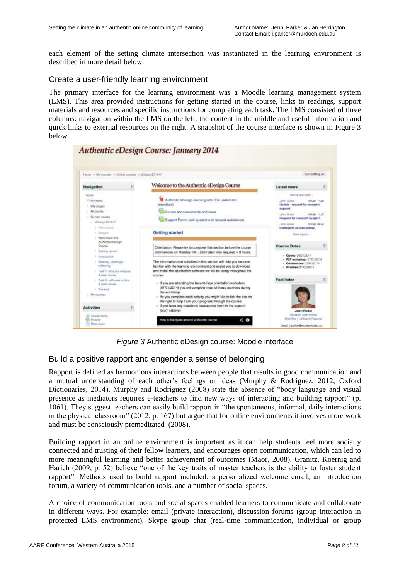each element of the setting climate intersection was instantiated in the learning environment is described in more detail below.

#### Create a user-friendly learning environment

The primary interface for the learning environment was a Moodle learning management system (LMS). This area provided instructions for getting started in the course, links to readings, support materials and resources and specific instructions for completing each task. The LMS consisted of three columns: navigation within the LMS on the left, the content in the middle and useful information and quick links to external resources on the right. A snapshot of the course interface is shown in Figure 3 below.



*Figure 3* Authentic eDesign course: Moodle interface

## Build a positive rapport and engender a sense of belonging

Rapport is defined as harmonious interactions between people that results in good communication and a mutual understanding of each other"s feelings or ideas (Murphy & Rodriguez, 2012; Oxford Dictionaries, 2014). Murphy and Rodriguez (2008) state the absence of "body language and visual presence as mediators requires e-teachers to find new ways of interacting and building rapport" (p. 1061). They suggest teachers can easily build rapport in "the spontaneous, informal, daily interactions in the physical classroom" (2012, p. 167) but argue that for online environments it involves more work and must be consciously premeditated (2008).

Building rapport in an online environment is important as it can help students feel more socially connected and trusting of their fellow learners, and encourages open communication, which can led to more meaningful learning and better achievement of outcomes (Maor, 2008). Granitz, Koernig and Harich (2009, p. 52) believe "one of the key traits of master teachers is the ability to foster student rapport". Methods used to build rapport included: a personalized welcome email, an introduction forum, a variety of communication tools, and a number of social spaces.

A choice of communication tools and social spaces enabled learners to communicate and collaborate in different ways. For example: email (private interaction), discussion forums (group interaction in protected LMS environment), Skype group chat (real-time communication, individual or group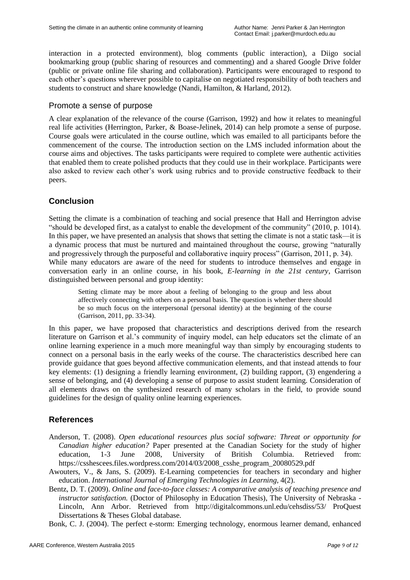interaction in a protected environment), blog comments (public interaction), a Diigo social bookmarking group (public sharing of resources and commenting) and a shared Google Drive folder (public or private online file sharing and collaboration). Participants were encouraged to respond to each other"s questions wherever possible to capitalise on negotiated responsibility of both teachers and students to construct and share knowledge (Nandi, Hamilton, & Harland, 2012).

#### Promote a sense of purpose

A clear explanation of the relevance of the course (Garrison, 1992) and how it relates to meaningful real life activities (Herrington, Parker, & Boase-Jelinek, 2014) can help promote a sense of purpose. Course goals were articulated in the course outline, which was emailed to all participants before the commencement of the course. The introduction section on the LMS included information about the course aims and objectives. The tasks participants were required to complete were authentic activities that enabled them to create polished products that they could use in their workplace. Participants were also asked to review each other"s work using rubrics and to provide constructive feedback to their peers.

## **Conclusion**

Setting the climate is a combination of teaching and social presence that Hall and Herrington advise "should be developed first, as a catalyst to enable the development of the community" (2010, p. 1014). In this paper, we have presented an analysis that shows that setting the climate is not a static task—it is a dynamic process that must be nurtured and maintained throughout the course, growing "naturally and progressively through the purposeful and collaborative inquiry process" (Garrison, 2011, p. 34). While many educators are aware of the need for students to introduce themselves and engage in conversation early in an online course, in his book, *E-learning in the 21st century*, Garrison distinguished between personal and group identity:

Setting climate may be more about a feeling of belonging to the group and less about affectively connecting with others on a personal basis. The question is whether there should be so much focus on the interpersonal (personal identity) at the beginning of the course (Garrison, 2011, pp. 33-34).

In this paper, we have proposed that characteristics and descriptions derived from the research literature on Garrison et al."s community of inquiry model, can help educators set the climate of an online learning experience in a much more meaningful way than simply by encouraging students to connect on a personal basis in the early weeks of the course. The characteristics described here can provide guidance that goes beyond affective communication elements, and that instead attends to four key elements: (1) designing a friendly learning environment, (2) building rapport, (3) engendering a sense of belonging, and (4) developing a sense of purpose to assist student learning. Consideration of all elements draws on the synthesized research of many scholars in the field, to provide sound guidelines for the design of quality online learning experiences.

## **References**

- Anderson, T. (2008). *Open educational resources plus social software: Threat or opportunity for Canadian higher education?* Paper presented at the Canadian Society for the study of higher education, 1-3 June 2008, University of British Columbia. Retrieved from: https://csshescees.files.wordpress.com/2014/03/2008 csshe\_program\_20080529.pdf
- Awouters, V., & Jans, S. (2009). E-Learning competencies for teachers in secondary and higher education. *International Journal of Emerging Technologies in Learning*, 4(2).
- Bentz, D. T. (2009). *Online and face-to-face classes: A comparative analysis of teaching presence and instructor satisfaction.* (Doctor of Philosophy in Education Thesis), The University of Nebraska - Lincoln, Ann Arbor. Retrieved from http://digitalcommons.unl.edu/cehsdiss/53/ ProQuest Dissertations & Theses Global database.
- Bonk, C. J. (2004). The perfect e-storm: Emerging technology, enormous learner demand, enhanced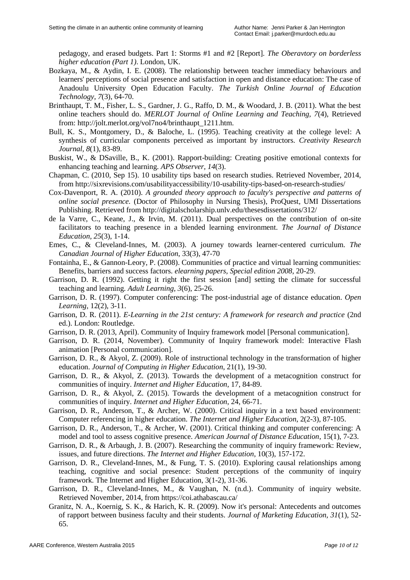pedagogy, and erased budgets. Part 1: Storms #1 and #2 [Report]. *The Oberavtory on borderless higher education (Part 1)*. London, UK.

- Bozkaya, M., & Aydin, I. E. (2008). The relationship between teacher immediacy behaviours and learners' perceptions of social presence and satisfaction in open and distance education: The case of Anadoulu University Open Education Faculty. *The Turkish Online Journal of Education Technology, 7*(3), 64-70.
- Brinthaupt, T. M., Fisher, L. S., Gardner, J. G., Raffo, D. M., & Woodard, J. B. (2011). What the best online teachers should do. *MERLOT Journal of Online Learning and Teaching, 7*(4), Retrieved from: http://jolt.merlot.org/vol7no4/brinthaupt\_1211.htm.
- Bull, K. S., Montgomery, D., & Baloche, L. (1995). Teaching creativity at the college level: A synthesis of curricular components perceived as important by instructors. *Creativity Research Journal, 8*(1), 83-89.
- Buskist, W., & DSaville, B., K. (2001). Rapport-building: Creating positive emotional contexts for enhancing teaching and learning. *APS Observer, 14*(3).
- Chapman, C. (2010, Sep 15). 10 usability tips based on research studies. Retrieved November, 2014, from http://sixrevisions.com/usabilityaccessibility/10-usability-tips-based-on-research-studies/
- Cox-Davenport, R. A. (2010). *A grounded theory approach to faculty's perspective and patterns of online social presence.* (Doctor of Philosophy in Nursing Thesis), ProQuest, UMI Dissertations Publishing. Retrieved from http://digitalscholarship.unlv.edu/thesesdissertations/312/
- de la Varre, C., Keane, J., & Irvin, M. (2011). Dual perspectives on the contribution of on-site facilitators to teaching presence in a blended learning environment. *The Journal of Distance Education, 25*(3), 1-14.
- Emes, C., & Cleveland-Innes, M. (2003). A journey towards learner-centered curriculum. *The Canadian Journal of Higher Education*, 33(3), 47-70
- Fontainha, E., & Gannon-Leory, P. (2008). Communities of practice and virtual learning communities: Benefits, barriers and success factors. *elearning papers, Special edition 2008*, 20-29.
- Garrison, D. R. (1992). Getting it right the first session [and] setting the climate for successful teaching and learning. *Adult Learning, 3*(6), 25-26.
- Garrison, D. R. (1997). Computer conferencing: The post-industrial age of distance education. *Open Learning*, 12(2), 3-11.
- Garrison, D. R. (2011). *E-Learning in the 21st century: A framework for research and practice* (2nd ed.). London: Routledge.
- Garrison, D. R. (2013, April). Community of Inquiry framework model [Personal communication].
- Garrison, D. R. (2014, November). Community of Inquiry framework model: Interactive Flash animation [Personal communication].
- Garrison, D. R., & Akyol, Z. (2009). Role of instructional technology in the transformation of higher education. *Journal of Computing in Higher Education*, 21(1), 19-30.
- Garrison, D. R., & Akyol, Z. (2013). Towards the development of a metacognition construct for communities of inquiry. *Internet and Higher Education*, 17, 84-89.
- Garrison, D. R., & Akyol, Z. (2015). Towards the development of a metacognition construct for communities of inquiry. *Internet and Higher Education*, 24, 66-71.
- Garrison, D. R., Anderson, T., & Archer, W. (2000). Critical inquiry in a text based environment: Computer referencing in higher education. *The Internet and Higher Education*, 2(2-3), 87-105.
- Garrison, D. R., Anderson, T., & Archer, W. (2001). Critical thinking and computer conferencing: A model and tool to assess cognitive presence. *American Journal of Distance Education*, 15(1), 7-23.
- Garrison, D. R., & Arbaugh, J. B. (2007). Researching the community of inquiry framework: Review, issues, and future directions. *The Internet and Higher Education*, 10(3), 157-172.
- Garrison, D. R., Cleveland-Innes, M., & Fung, T. S. (2010). Exploring causal relationships among teaching, cognitive and social presence: Student perceptions of the community of inquiry framework. The Internet and Higher Education, 3(1-2), 31-36.
- Garrison, D. R., Cleveland-Innes, M., & Vaughan, N. (n.d.). Community of inquiry website. Retrieved November, 2014, from https://coi.athabascau.ca/
- Granitz, N. A., Koernig, S. K., & Harich, K. R. (2009). Now it's personal: Antecedents and outcomes of rapport between business faculty and their students. *Journal of Marketing Education, 31*(1), 52- 65.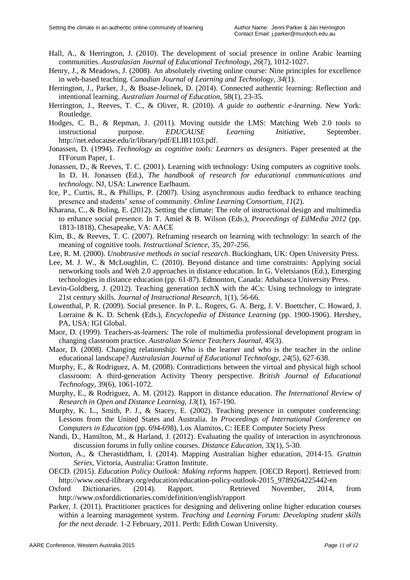- Hall, A., & Herrington, J. (2010). The development of social presence in online Arabic learning communities. *Australasian Journal of Educational Technology, 26*(7), 1012-1027.
- Henry, J., & Meadows, J. (2008). An absolutely riveting online course: Nine principles for excellence in web-based teaching. *Canadian Journal of Learning and Technology, 34*(1).
- Herrington, J., Parker, J., & Boase-Jelinek, D. (2014). Connected authentic learning: Reflection and intentional learning. *Australian Journal of Education*, 58(1), 23-35.
- Herrington, J., Reeves, T. C., & Oliver, R. (2010). *A guide to authentic e-learning*. New York: Routledge.
- Hodges, C. B., & Repman, J. (2011). Moving outside the LMS: Matching Web 2.0 tools to instructional purpose. *EDUCAUSE Learning Initiative*, September. http://net.educause.edu/ir/library/pdf/ELIB1103.pdf.
- Jonassen, D. (1994). *Technology as cognitive tools: Learners as designers*. Paper presented at the ITForum Paper, 1.
- Jonassen, D., & Reeves, T. C. (2001). Learning with technology: Using computers as cognitive tools. In D. H. Jonassen (Ed.), *The handbook of research for educational communications and technology*. NJ, USA: Lawrence Earlbaum.
- Ice, P., Curtis, R., & Phillips, P. (2007). Using asynchronous audio feedback to enhance teaching presence and students" sense of community. *Online Learning Consortium, 11*(2).
- Kharana, C., & Boling, E. (2012). Setting the climate: The role of instructional design and multimedia to enhance social presence*.* In T. Amiel & B. Wilson (Eds.), *Proceedings of EdMedia 2012* (pp. 1813-1818), Chesapeake, VA: AACE
- Kim, B., & Reeves, T. C. (2007). Reframing research on learning with technology: In search of the meaning of cognitive tools. *Instructional Science*, 35, 207-256.
- Lee, R. M. (2000). *Unobtrusive methods in social research*. Buckingham, UK: Open University Press.
- Lee, M. J. W., & McLoughlin, C. (2010). Beyond distance and time constraints: Applying social networking tools and Web 2.0 approaches in distance education. In G. Veletsianos (Ed.), Emerging technologies in distance education (pp. 61-87). Edmonton, Canada: Athabasca University Press.
- Levin-Goldberg, J. (2012). Teaching generation techX with the 4Cs: Using technology to integrate 21st century skills. *Journal of Instructional Research,* 1(1), 56-66.
- Lowenthal, P. R. (2009). Social presence. In P. L. Rogers, G. A. Berg, J. V. Boettcher, C. Howard, J. Lorraine & K. D. Schenk (Eds.), *Encyclopedia of Distance Learning* (pp. 1900-1906). Hershey, PA, USA: IGI Global.
- Maor, D. (1999). Teachers-as-learners: The role of multimedia professional development program in changing classroom practice. *Australian Science Teachers Journal*, 45(3).
- Maor, D. (2008). Changing relationship: Who is the learner and who is the teacher in the online educational landscape? *Australasian Journal of Educational Technology, 24*(5), 627-638.
- Murphy, E., & Rodriguez, A. M. (2008). Contradictions between the virtual and physical high school classroom: A third-generation Activity Theory perspective. *British Journal of Educational Technology*, 39(6), 1061-1072.
- Murphy, E., & Rodriguez, A. M. (2012). Rapport in distance education. *The International Review of Research in Open and Distance Learning, 13*(1), 167-190.
- Murphy, K. L., Smith, P. J., & Stacey, E. (2002). Teaching presence in computer conferencing: Lessons from the United States and Australia. In *Proceedings of International Conference on Computers in Education* (pp. 694-698), Los Alamitos, C: IEEE Computer Society Press
- Nandi, D., Hamilton, M., & Harland, J. (2012). Evaluating the quality of interaction in asynchronous discussion forums in fully online courses. *Distance Education*, 33(1), 5-30.
- Norton, A., & Cherastidtham, I. (2014). Mapping Australian higher education, 2014-15. *Gratton Series,* Victoria, Australia: Gratton Institute.
- OECD. (2015). *Education Policy Outlook: Making reforms happen.* [OECD Report]. Retrieved from: http://www.oecd-ilibrary.org/education/education-policy-outlook-2015\_9789264225442-en
- Oxford Dictionaries. (2014). Rapport. Retrieved November, 2014, from http://www.oxforddictionaries.com/definition/english/rapport
- Parker, J. (2011). Practitioner practices for designing and delivering online higher education courses within a learning management system. *Teaching and Learning Forum: Developing student skills for the next decade*. 1-2 February, 2011. Perth: Edith Cowan University.